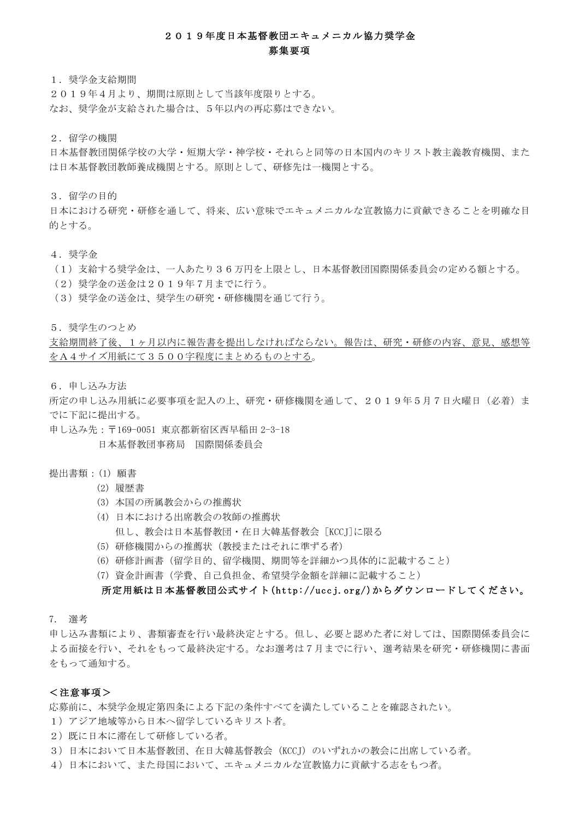## 2019年度日本基督教団エキュメニカル協力奨学金 募集要項

1.奨学金支給期間

2019年4月より、期間は原則として当該年度限りとする。 なお、奨学金が支給された場合は、5年以内の再応募はできない。

2.留学の機関

日本基督教団関係学校の大学・短期大学・神学校・それらと同等の日本国内のキリスト教主義教育機関、また は日本基督教団教師養成機関とする。原則として、研修先は一機関とする。

3.留学の目的

日本における研究・研修を通して、将来、広い意味でエキュメニカルな宣教協力に貢献できることを明確な目 的とする。

4.奨学金

(1)支給する奨学金は、一人あたり36万円を上限とし、日本基督教団国際関係委員会の定める額とする。

- (2)奨学金の送金は2019年7月までに行う。
- (3)奨学金の送金は、奨学生の研究・研修機関を通じて行う。

5. 奨学生のつとめ

支給期間終了後、1ヶ月以内に報告書を提出しなければならない。報告は、研究・研修の内容、意見、感想等 をA4サイズ用紙にて3500字程度にまとめるものとする。

6.申し込み方法

所定の申し込み用紙に必要事項を記入の上、研究・研修機関を通して、2019年5月7日火曜日(必着)ま でに下記に提出する。

申し込み先:〒169-0051 東京都新宿区西早稲田 2-3-18

日本基督教団事務局 国際関係委員会

## 提出書類: (1) 願書

- (2) 履歴書
- (3) 本国の所属教会からの推薦状
- (4) 日本における出席教会の牧師の推薦状 但し、教会は日本基督教団·在日大韓基督教会「KCCI]に限る
- (5) 研修機関からの推薦状(教授またはそれに準ずる者)
- (6) 研修計画書(留学目的、留学機関、期間等を詳細かつ具体的に記載すること)
- (7) 資金計画書(学費、自己負担金、希望奨学金額を詳細に記載すること)

## 所定用紙は日本基督教団公式サイト(http://uccj.org/)からダウンロードしてください。

#### 7. 選考

申し込み書類により、書類審査を行い最終決定とする。但し、必要と認めた者に対しては、国際関係委員会に よる面接を行い、それをもって最終決定する。なお選考は7月までに行い、選考結果を研究・研修機関に書面 をもって通知する。

### <注意事項>

応募前に、本奨学金規定第四条による下記の条件すべてを満たしていることを確認されたい。

- 1)アジア地域等から日本へ留学しているキリスト者。
- 2) 既に日本に滞在して研修している者。
- 3)日本において日本基督教団、在日大韓基督教会(KCCJ)のいずれかの教会に出席している者。
- 4)日本において、また母国において、エキュメニカルな宣教協力に貢献する志をもつ者。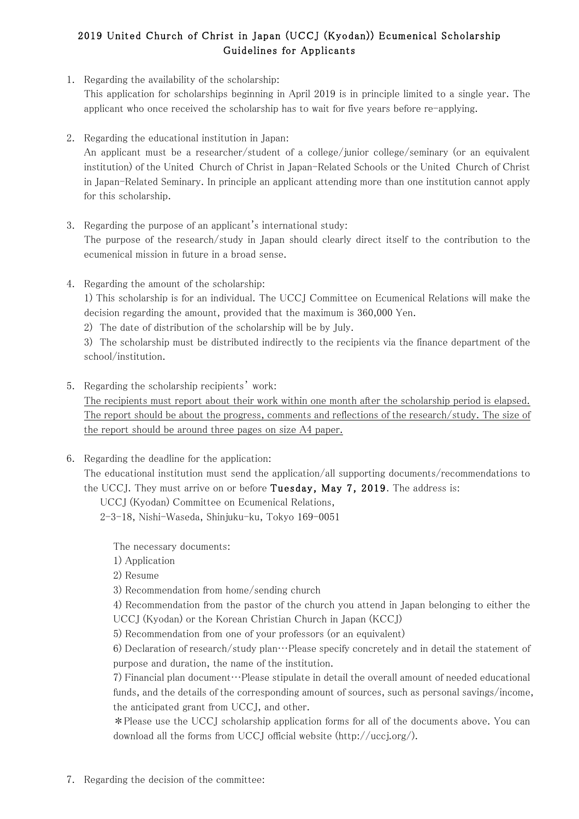# 2019 United Church of Christ in Japan (UCCJ (Kyodan)) Ecumenical Scholarship Guidelines for Applicants

1. Regarding the availability of the scholarship:

This application for scholarships beginning in April 2019 is in principle limited to a single year. The applicant who once received the scholarship has to wait for five years before re-applying.

2. Regarding the educational institution in Japan:

An applicant must be a researcher/student of a college/junior college/seminary (or an equivalent institution) of the United Church of Christ in Japan-Related Schools or the United Church of Christ in Japan-Related Seminary. In principle an applicant attending more than one institution cannot apply for this scholarship.

- 3. Regarding the purpose of an applicant's international study: The purpose of the research/study in Japan should clearly direct itself to the contribution to the ecumenical mission in future in a broad sense.
- 4. Regarding the amount of the scholarship:

1) This scholarship is for an individual. The UCCJ Committee on Ecumenical Relations will make the decision regarding the amount, provided that the maximum is 360,000 Yen.

2) The date of distribution of the scholarship will be by July.

3) The scholarship must be distributed indirectly to the recipients via the finance department of the school/institution.

5. Regarding the scholarship recipients' work:

The recipients must report about their work within one month after the scholarship period is elapsed. The report should be about the progress, comments and reflections of the research/study. The size of the report should be around three pages on size A4 paper.

6. Regarding the deadline for the application:

The educational institution must send the application/all supporting documents/recommendations to the UCCJ. They must arrive on or before Tuesday, May 7, 2019. The address is:

UCCJ (Kyodan) Committee on Ecumenical Relations,

2-3-18, Nishi-Waseda, Shinjuku-ku, Tokyo 169-0051

The necessary documents:

1) Application

2) Resume

3) Recommendation from home/sending church

4) Recommendation from the pastor of the church you attend in Japan belonging to either the UCCJ (Kyodan) or the Korean Christian Church in Japan (KCCJ)

5) Recommendation from one of your professors (or an equivalent)

6) Declaration of research/study plan…Please specify concretely and in detail the statement of purpose and duration, the name of the institution.

 $7)$  Financial plan document $\cdots$ Please stipulate in detail the overall amount of needed educational funds, and the details of the corresponding amount of sources, such as personal savings/income, the anticipated grant from UCCJ, and other.

\*Please use the 㼁CCJ scholarship application forms for all of the documents above. You can download all the forms from 㼁CCJ official website (http://uccj.org/).

7. Regarding the decision of the committee: